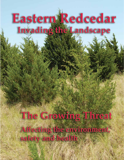# **Eastern Redcedar** Invading the Landscape

The Growing Threat Affecting the environment, safety and health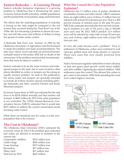### **Eastern Redcedar — A Growing Threat**

Eastern redcedar (juniperus virginiana) is a growing problem in Oklahoma that is threatening the state's economy, human health and safety, wildlife populations and the productivity of our pasture, range and forest land.

The effects that the exploding populations of redcedar is having on the state might be compared to the soil erosion that occurred during the "Dust Bowl" era of the 1930s-40s. It is becoming a problem in almost all counties, and will take years and millions of dollars to bring the spread of cedars under control.

A Redcedar Task Force was formed in 2002 by the Oklahoma Secretaries of Agriculture and Environment to study the problem and make recommendations. The task force report (www.oda.state.ok.us/forms/forestry/ rcstf.pdf) issued in December 2002 left no doubt of the seriousness of the problem and provided recommendations that must be taken to control it.

Eastern redcedar is by far the most common and widespread juniper in the state, but in some locations other plants identified as cedars or junipers are becoming an equally invasive problem. As used in this publication, the terms cedars and junipers are generally intended to include all of these invasive species including saltcedar (tamarisk) and Ashe, oneseed, Pinchot and Rocky Mountain junipers.

Economic losses alone in 2002 was estimated by the task force to be \$218 million annually and that number will increase to \$447 million by 2013 if the cedar population is not controlled. The USDA Natural Resources Conservation Service (NRCS) estimated that it would take \$157 million to address the current conservation needs involving cedar control.

While there are beneficial uses for cedar, it is the overpopulation that is the concern.

### **The Cost to Oklahoma?**

The Oklahoma State University (OSU) estimated the economic losses by 2013 if the problem goes untreated and cedars are allowed to increase in numbers at the current rate:

Catastrophic wildfires \$107 million loss Cattle forage \$205 million loss Lease hunting \$107 million loss Recreation \$17 million loss Water yield \$11 million loss Total loss by 2013 \$447 million

### **What Has Caused the Cedar Population Explosion?**

Oklahoma has 17 million acres of prairie, shrubland, crosstimbers forests and other forests. NRCS estimates there are eight million acres of these 17 million that are infested with at least 50 redcedars per acre. That is a 400 percent increase in infested acres in the past 50 years. NRCS also estimates that redcedar trees are now increasing in numbers at a rate of 762 acres a day or 300,000 acres each year. By 2013, NRCS predicts 12.6 million acres will be infested by cedar with at least 50 trees per acre, and of those, eight million acres with at least 250 trees per acre.

So how did cedar become such a problem? Prior to settlement of Oklahoma, cedars were restricted to rock outcrops, gullied areas and along streams or canyons. These were areas that were usually protected from wildfires.

Native Americans regularly started fires to burn off areas so that new green plant growth would attract buffalo and other wildlife. Lightning also started wildfires. With settlement came fire control. This allowed the cedars to get a start in the prairies. With birds spreading the seed, soon cedars began to increase.



 The redcedar inventory map above, produced as a USDA Natural Resources Conservation Service project jointly funded by the Oklahoma Department of Commerce and Department of Agriculture, Food & Forestry, shows the location and concentration of eastern redcedar tree growth in a dozen central and northwest Oklahoma counties in 2005. Counties included in the map are Blaine, Canadian, Dewey, Garfield, Kingfisher, Lincoln, Logan, Major, Noble, Oklahoma, Pawnee and Payne. Payne County's last inventory in 1984 showed fewer than 500 total acres invested. The 2005 map indicates coverage of the eastern redcedar in Payne County has multiplied to 50,000-plus acres.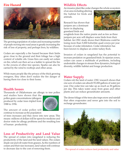### **Fire Hazard**



The growing population of cedars and increasing number of people moving into rural areas is greatly increasing the risk of loss of property, and perhaps lives, by wildfires.

Cedars are especially a fire hazard because their limbs grow close to the ground and their foliage has a high content of volatile oils. Grass fires can easily set cedars on fire, which can then act as a ladder to spread the fire to the crowns of other tree species. Sparks can also be carried by the wind to rooftops and other areas.

While many people like the privacy of the thick growing evergeen, they often don't realize the fire danger of **Water Supply**<br>having them too close to their home. The section of the land

### **Health Issues**

Thousands of Oklahomans are allergic to tree pollen

and studies have shown that the pollen grain concentrations (allergen) produced by cedar trees tripled from 1988 to 1996.



The amount of cedar pollen will continue to increase as the population

of trees increases and they move into new areas. This means millions of dollars will be spent for medicine and doctor visits for allergy problems and the resulting loss of human productivity.

# **Loss of Productivity and Land Value**

The spread of cedars into rangeland is reducing the productivity of the land and the land values. The cedars shade out and rob water from grasses. As the numbers of cedars and their size increases, land values will continue to decrease due to the cost of removing them.

# **Wildlife Effects**

An invasive plant like cedar changes the whole ecosystem

of an area including altering the habitat for birds and animals.

Research has shown that junipers are a dominant factor in displacing grassland birds and



songbirds from the native prairie and as few as three junipers per acre will displace some birds from their habitat. An OSU study shows that Oklahoma could be losing more than 5,000 bobwhite quail coveys per year because of cedar infestation. Cedar infestation has been known to displace an entire turkey flock.

Invasion of cedars in rangeland has the potential to increase predation on grassland birds. In riparian zones, cedars can cause a multitude of problems, including undesirable changes in stream flow dynamics, biological diversity, wildlife habitat and forage production.

Cedars rob the land of water. OSU research shows that one acre of cedars can absorb 55,000 gallons of water per year. One cedar tree can take up as much as 30 gallons per day. This takes water away from grass and other plants and can reduce groundwater amounts.

The dense foliage of the trees also traps snow and rainfall that often evaporates and never gets into the soil to recharge groundwater.



The spread of cedars reduces land productivity and value